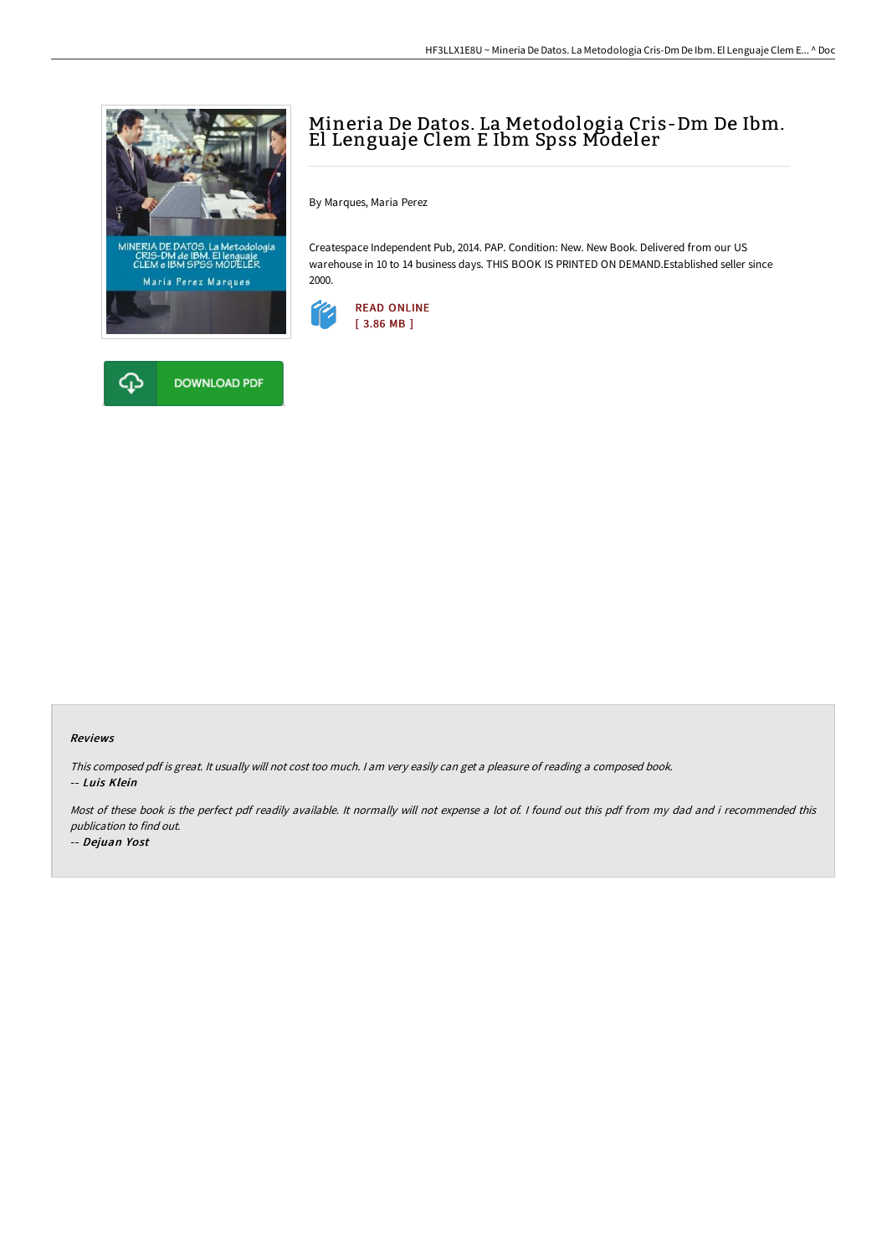



## Mineria De Datos. La Metodologia Cris-Dm De Ibm. El Lenguaje Clem E Ibm Spss Modeler

By Marques, Maria Perez

Createspace Independent Pub, 2014. PAP. Condition: New. New Book. Delivered from our US warehouse in 10 to 14 business days. THIS BOOK IS PRINTED ON DEMAND.Established seller since 2000.



## Reviews

This composed pdf is great. It usually will not cost too much. <sup>I</sup> am very easily can get <sup>a</sup> pleasure of reading <sup>a</sup> composed book. -- Luis Klein

Most of these book is the perfect pdf readily available. It normally will not expense <sup>a</sup> lot of. I found out this pdf from my dad and i recommended this publication to find out.

-- Dejuan Yost